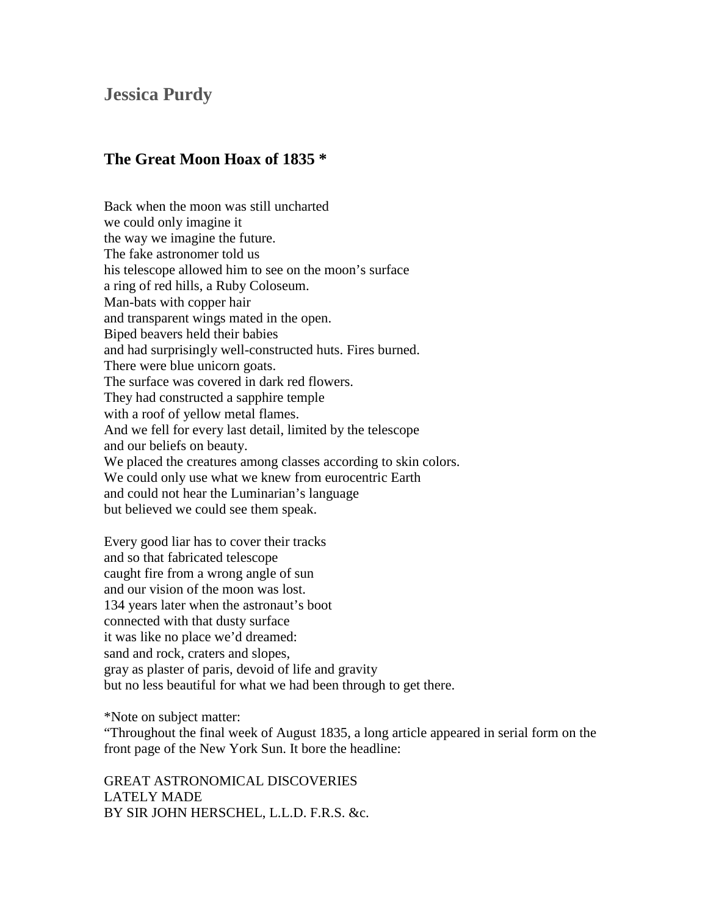## **Jessica Purdy**

## **The Great Moon Hoax of 1835 \***

Back when the moon was still uncharted we could only imagine it the way we imagine the future. The fake astronomer told us his telescope allowed him to see on the moon's surface a ring of red hills, a Ruby Coloseum. Man-bats with copper hair and transparent wings mated in the open. Biped beavers held their babies and had surprisingly well-constructed huts. Fires burned. There were blue unicorn goats. The surface was covered in dark red flowers. They had constructed a sapphire temple with a roof of yellow metal flames. And we fell for every last detail, limited by the telescope and our beliefs on beauty. We placed the creatures among classes according to skin colors. We could only use what we knew from eurocentric Earth and could not hear the Luminarian's language but believed we could see them speak.

Every good liar has to cover their tracks and so that fabricated telescope caught fire from a wrong angle of sun and our vision of the moon was lost. 134 years later when the astronaut's boot connected with that dusty surface it was like no place we'd dreamed: sand and rock, craters and slopes, gray as plaster of paris, devoid of life and gravity but no less beautiful for what we had been through to get there.

\*Note on subject matter:

"Throughout the final week of August 1835, a long article appeared in serial form on the front page of the New York Sun. It bore the headline:

GREAT ASTRONOMICAL DISCOVERIES LATELY MADE BY SIR JOHN HERSCHEL, L.L.D. F.R.S. &c.